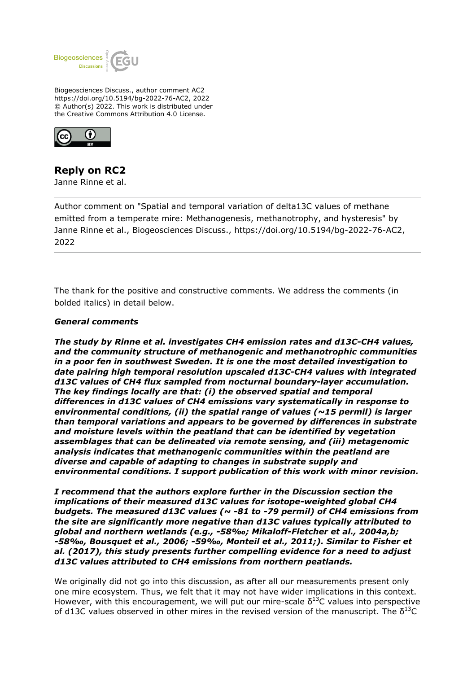

Biogeosciences Discuss., author comment AC2 https://doi.org/10.5194/bg-2022-76-AC2, 2022 © Author(s) 2022. This work is distributed under the Creative Commons Attribution 4.0 License.



# **Reply on RC2**

Janne Rinne et al.

Author comment on "Spatial and temporal variation of delta13C values of methane emitted from a temperate mire: Methanogenesis, methanotrophy, and hysteresis" by Janne Rinne et al., Biogeosciences Discuss., https://doi.org/10.5194/bg-2022-76-AC2, 2022

The thank for the positive and constructive comments. We address the comments (in bolded italics) in detail below.

#### *General comments*

*The study by Rinne et al. investigates CH4 emission rates and d13C-CH4 values, and the community structure of methanogenic and methanotrophic communities in a poor fen in southwest Sweden. It is one the most detailed investigation to date pairing high temporal resolution upscaled d13C-CH4 values with integrated d13C values of CH4 flux sampled from nocturnal boundary-layer accumulation. The key findings locally are that: (i) the observed spatial and temporal differences in d13C values of CH4 emissions vary systematically in response to environmental conditions, (ii) the spatial range of values (~15 permil) is larger than temporal variations and appears to be governed by differences in substrate and moisture levels within the peatland that can be identified by vegetation assemblages that can be delineated via remote sensing, and (iii) metagenomic analysis indicates that methanogenic communities within the peatland are diverse and capable of adapting to changes in substrate supply and environmental conditions. I support publication of this work with minor revision.*

*I recommend that the authors explore further in the Discussion section the implications of their measured d13C values for isotope-weighted global CH4 budgets. The measured d13C values (~ -81 to -79 permil) of CH4 emissions from the site are significantly more negative than d13C values typically attributed to global and northern wetlands (e.g., -58‰; Mikaloff-Fletcher et al., 2004a,b; -58‰, Bousquet et al., 2006; -59‰, Monteil et al., 2011;). Similar to Fisher et al. (2017), this study presents further compelling evidence for a need to adjust d13C values attributed to CH4 emissions from northern peatlands.*

We originally did not go into this discussion, as after all our measurements present only one mire ecosystem. Thus, we felt that it may not have wider implications in this context. However, with this encouragement, we will put our mire-scale  $\delta^{13}$ C values into perspective of d13C values observed in other mires in the revised version of the manuscript. The  $\delta^{13}C$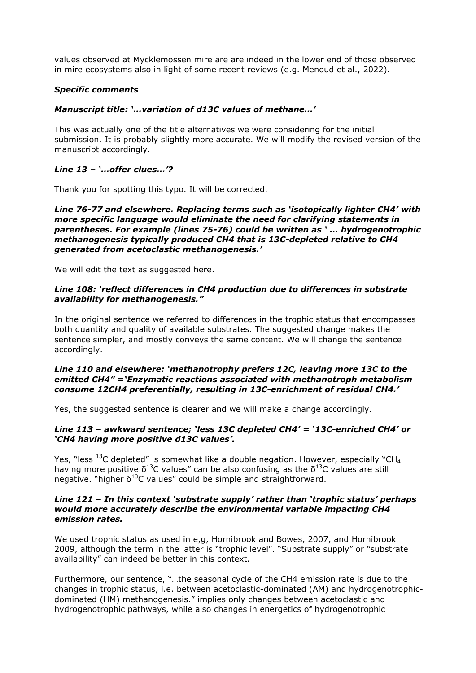values observed at Mycklemossen mire are are indeed in the lower end of those observed in mire ecosystems also in light of some recent reviews (e.g. Menoud et al., 2022).

## *Specific comments*

## *Manuscript title: '…variation of d13C values of methane…'*

This was actually one of the title alternatives we were considering for the initial submission. It is probably slightly more accurate. We will modify the revised version of the manuscript accordingly.

## *Line 13 – '…offer clues…'?*

Thank you for spotting this typo. It will be corrected.

*Line 76-77 and elsewhere. Replacing terms such as 'isotopically lighter CH4' with more specific language would eliminate the need for clarifying statements in parentheses. For example (lines 75-76) could be written as ' … hydrogenotrophic methanogenesis typically produced CH4 that is 13C-depleted relative to CH4 generated from acetoclastic methanogenesis.'*

We will edit the text as suggested here.

## *Line 108: 'reflect differences in CH4 production due to differences in substrate availability for methanogenesis."*

In the original sentence we referred to differences in the trophic status that encompasses both quantity and quality of available substrates. The suggested change makes the sentence simpler, and mostly conveys the same content. We will change the sentence accordingly.

#### *Line 110 and elsewhere: 'methanotrophy prefers 12C, leaving more 13C to the emitted CH4" ='Enzymatic reactions associated with methanotroph metabolism consume 12CH4 preferentially, resulting in 13C-enrichment of residual CH4.'*

Yes, the suggested sentence is clearer and we will make a change accordingly.

## *Line 113 – awkward sentence; 'less 13C depleted CH4' = '13C-enriched CH4' or 'CH4 having more positive d13C values'.*

Yes, "less  $^{13}$ C depleted" is somewhat like a double negation. However, especially "CH<sub>4</sub> having more positive  $\delta^{13}$ C values" can be also confusing as the  $\delta^{13}$ C values are still negative. "higher  $\delta^{13}$ C values" could be simple and straightforward.

## *Line 121 – In this context 'substrate supply' rather than 'trophic status' perhaps would more accurately describe the environmental variable impacting CH4 emission rates.*

We used trophic status as used in e,g, Hornibrook and Bowes, 2007, and Hornibrook 2009, although the term in the latter is "trophic level". "Substrate supply" or "substrate availability" can indeed be better in this context.

Furthermore, our sentence, "…the seasonal cycle of the CH4 emission rate is due to the changes in trophic status, i.e. between acetoclastic-dominated (AM) and hydrogenotrophicdominated (HM) methanogenesis." implies only changes between acetoclastic and hydrogenotrophic pathways, while also changes in energetics of hydrogenotrophic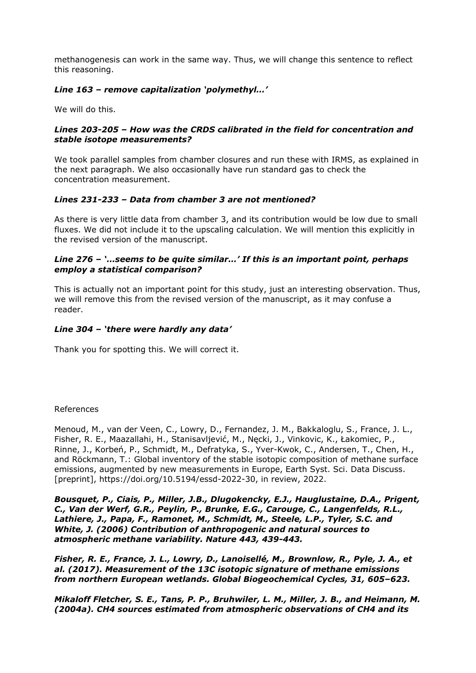methanogenesis can work in the same way. Thus, we will change this sentence to reflect this reasoning.

# *Line 163 – remove capitalization 'polymethyl…'*

We will do this.

## *Lines 203-205 – How was the CRDS calibrated in the field for concentration and stable isotope measurements?*

We took parallel samples from chamber closures and run these with IRMS, as explained in the next paragraph. We also occasionally have run standard gas to check the concentration measurement.

## *Lines 231-233 – Data from chamber 3 are not mentioned?*

As there is very little data from chamber 3, and its contribution would be low due to small fluxes. We did not include it to the upscaling calculation. We will mention this explicitly in the revised version of the manuscript.

## *Line 276 – '…seems to be quite similar…' If this is an important point, perhaps employ a statistical comparison?*

This is actually not an important point for this study, just an interesting observation. Thus, we will remove this from the revised version of the manuscript, as it may confuse a reader.

## *Line 304 – 'there were hardly any data'*

Thank you for spotting this. We will correct it.

#### References

Menoud, M., van der Veen, C., Lowry, D., Fernandez, J. M., Bakkaloglu, S., France, J. L., Fisher, R. E., Maazallahi, H., Stanisavljević, M., Nęcki, J., Vinkovic, K., Łakomiec, P., Rinne, J., Korbeń, P., Schmidt, M., Defratyka, S., Yver-Kwok, C., Andersen, T., Chen, H., and Röckmann, T.: Global inventory of the stable isotopic composition of methane surface emissions, augmented by new measurements in Europe, Earth Syst. Sci. Data Discuss. [preprint], https://doi.org/10.5194/essd-2022-30, in review, 2022.

*Bousquet, P., Ciais, P., Miller, J.B., Dlugokencky, E.J., Hauglustaine, D.A., Prigent, C., Van der Werf, G.R., Peylin, P., Brunke, E.G., Carouge, C., Langenfelds, R.L., Lathiere, J., Papa, F., Ramonet, M., Schmidt, M., Steele, L.P., Tyler, S.C. and White, J. (2006) Contribution of anthropogenic and natural sources to atmospheric methane variability. Nature 443, 439-443.*

*Fisher, R. E., France, J. L., Lowry, D., Lanoisellé, M., Brownlow, R., Pyle, J. A., et al. (2017). Measurement of the 13C isotopic signature of methane emissions from northern European wetlands. Global Biogeochemical Cycles, 31, 605–623.*

*Mikaloff Fletcher, S. E., Tans, P. P., Bruhwiler, L. M., Miller, J. B., and Heimann, M. (2004a). CH4 sources estimated from atmospheric observations of CH4 and its*